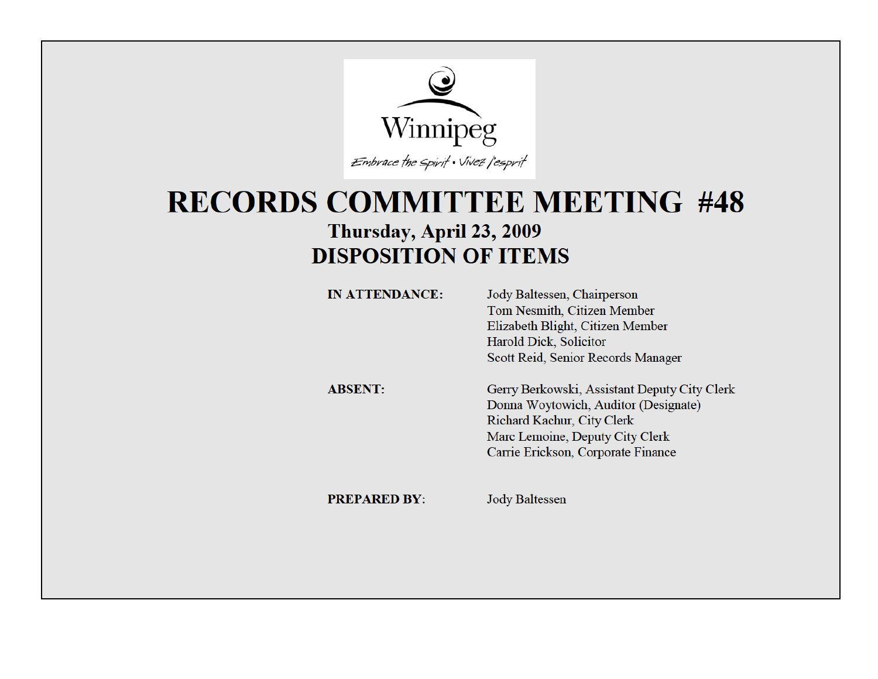

## **RECORDS COMMITTEE MEETING #48** Thursday, April 23, 2009 **DISPOSITION OF ITEMS**

| <b>IN ATTENDANCE:</b> | Jody Baltessen, Chairperson<br><b>Tom Nesmith, Citizen Member</b><br>Elizabeth Blight, Citizen Member<br>Harold Dick, Solicitor |
|-----------------------|---------------------------------------------------------------------------------------------------------------------------------|
| <b>ABSENT:</b>        | Scott Reid, Senior Records Manager<br>Gerry Berkowski, Assistant Deputy City Clerk<br>Donna Woytowich, Auditor (Designate)      |
|                       | Richard Kachur, City Clerk<br>Marc Lemoine, Deputy City Clerk<br>Carrie Erickson, Corporate Finance                             |

**PREPARED BY:** Jody Baltessen